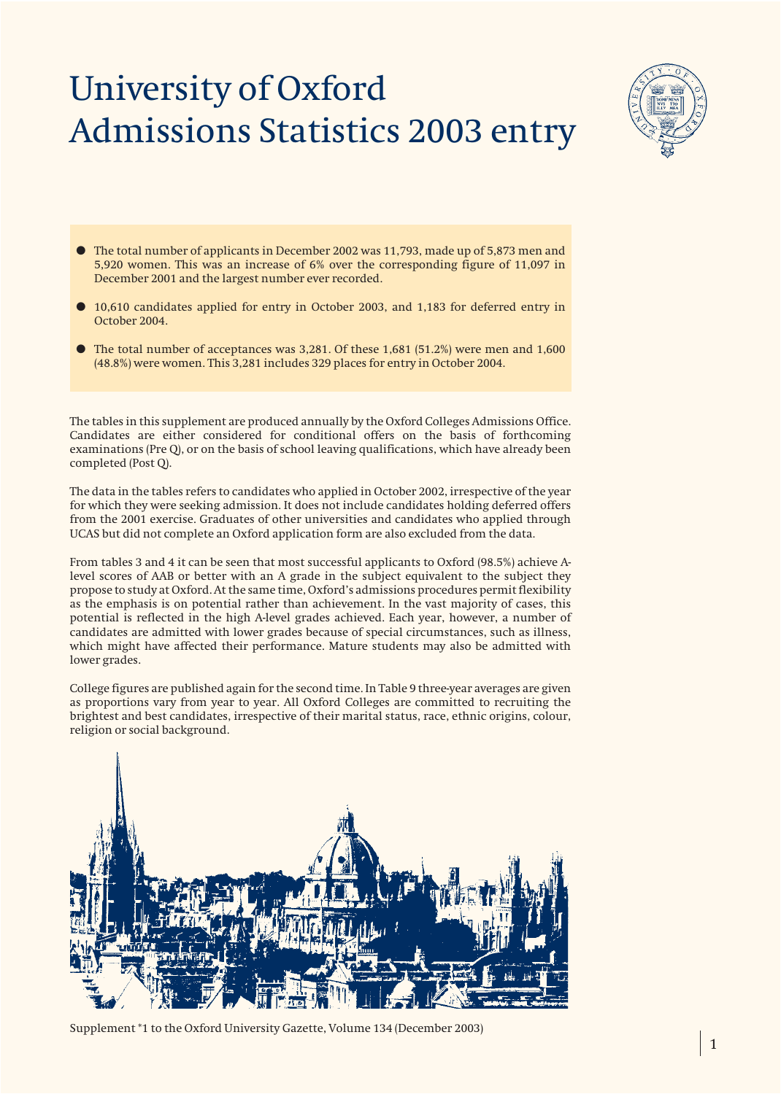# University of Oxford Admissions Statistics 2003 entry



- The total number of applicants in December 2002 was 11,793, made up of 5,873 men and 5,920 women. This was an increase of 6% over the corresponding figure of 11,097 in December 2001 and the largest number ever recorded.
- 10,610 candidates applied for entry in October 2003, and 1,183 for deferred entry in October 2004.
- $\bullet$  The total number of acceptances was 3,281. Of these 1,681 (51.2%) were men and 1,600 (48.8%) were women. This 3,281 includes 329 places for entry in October 2004.

The tables in this supplement are produced annually by the Oxford Colleges Admissions Office. Candidates are either considered for conditional offers on the basis of forthcoming examinations (Pre Q), or on the basis of school leaving qualifications, which have already been completed (Post Q).

The data in the tables refers to candidates who applied in October 2002, irrespective of the year for which they were seeking admission. It does not include candidates holding deferred offers from the 2001 exercise. Graduates of other universities and candidates who applied through UCAS but did not complete an Oxford application form are also excluded from the data.

From tables 3 and 4 it can be seen that most successful applicants to Oxford (98.5%) achieve Alevel scores of AAB or better with an A grade in the subject equivalent to the subject they propose to study at Oxford. At the same time, Oxford's admissions procedures permit flexibility as the emphasis is on potential rather than achievement. In the vast majority of cases, this potential is reflected in the high A-level grades achieved. Each year, however, a number of candidates are admitted with lower grades because of special circumstances, such as illness, which might have affected their performance. Mature students may also be admitted with lower grades.

College figures are published again for the second time. In Table 9 three-year averages are given as proportions vary from year to year. All Oxford Colleges are committed to recruiting the brightest and best candidates, irrespective of their marital status, race, ethnic origins, colour, religion or social background.



Supplement \*1 to the Oxford University Gazette, Volume 134 (December 2003)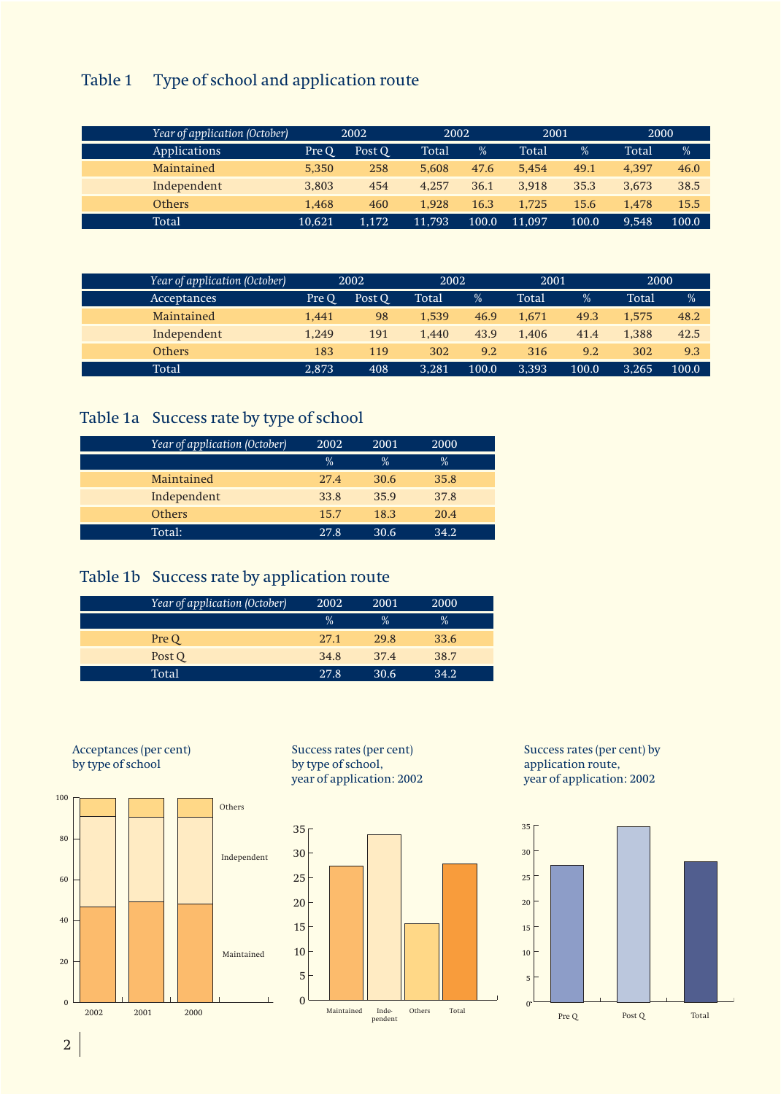## Table 1 Type of school and application route

| Year of application (October) |        | 2002   | 2002   |       | 2001   |       | 2000  |       |
|-------------------------------|--------|--------|--------|-------|--------|-------|-------|-------|
| Applications                  | Pre O  | Post O | Total  | %     | Total  | %     | Total | %     |
| Maintained                    | 5,350  | 258    | 5.608  | 47.6  | 5.454  | 49.1  | 4.397 | 46.0  |
| Independent                   | 3,803  | 454    | 4.257  | 36.1  | 3.918  | 35.3  | 3.673 | 38.5  |
| <b>Others</b>                 | 1.468  | 460    | 1.928  | 16.3  | 1.725  | 15.6  | 1.478 | 15.5  |
| Total                         | 10.621 | 1.172  | 11.793 | 100.0 | 11.097 | 100.0 | 9.548 | 100.0 |

| Year of application (October) |       | 2002   | 2002  |       | 2001  |       | 2000  |               |
|-------------------------------|-------|--------|-------|-------|-------|-------|-------|---------------|
| Acceptances                   | Pre O | Post O | Total | $\%$  | Total | %     | Total | $\frac{0}{0}$ |
| Maintained                    | 1,441 | 98     | 1.539 | 46.9  | 1.671 | 49.3  | 1.575 | 48.2          |
| Independent                   | 1.249 | 191    | 1,440 | 43.9  | 1.406 | 41.4  | 1.388 | 42.5          |
| <b>Others</b>                 | 183   | 119    | 302   | 9.2   | 316   | 9.2   | 302   | 9.3           |
| <b>Total</b>                  | 2.873 | 408    | 3,281 | 100.0 | 3.393 | 100.0 | 3.265 | 100.0         |

## Table 1a Success rate by type of school

| Year of application (October) | 2002 | 2001          | 2000 |  |
|-------------------------------|------|---------------|------|--|
|                               | $\%$ | $\frac{0}{0}$ | $\%$ |  |
| Maintained                    | 27.4 | 30.6          | 35.8 |  |
| Independent                   | 33.8 | 35.9          | 37.8 |  |
| <b>Others</b>                 | 15.7 | 18.3          | 20.4 |  |
| Total:                        | 27.8 | 30.6          | 342  |  |

### Table 1b Success rate by application route

| Year of application (October) | 2002          | 2001          | 2000          |  |
|-------------------------------|---------------|---------------|---------------|--|
|                               | $\frac{0}{2}$ | $\frac{0}{2}$ | $\frac{0}{0}$ |  |
| Pre Q                         | 27.1          | 29.8          | 33.6          |  |
| Post O                        | 34.8          | 37.4          | 38.7          |  |
| Total                         | 27.8          | 30.6          | 34.2.         |  |



Success rates (per cent) by type of school, year of application: 2002



Success rates (per cent) by application route, year of application: 2002



2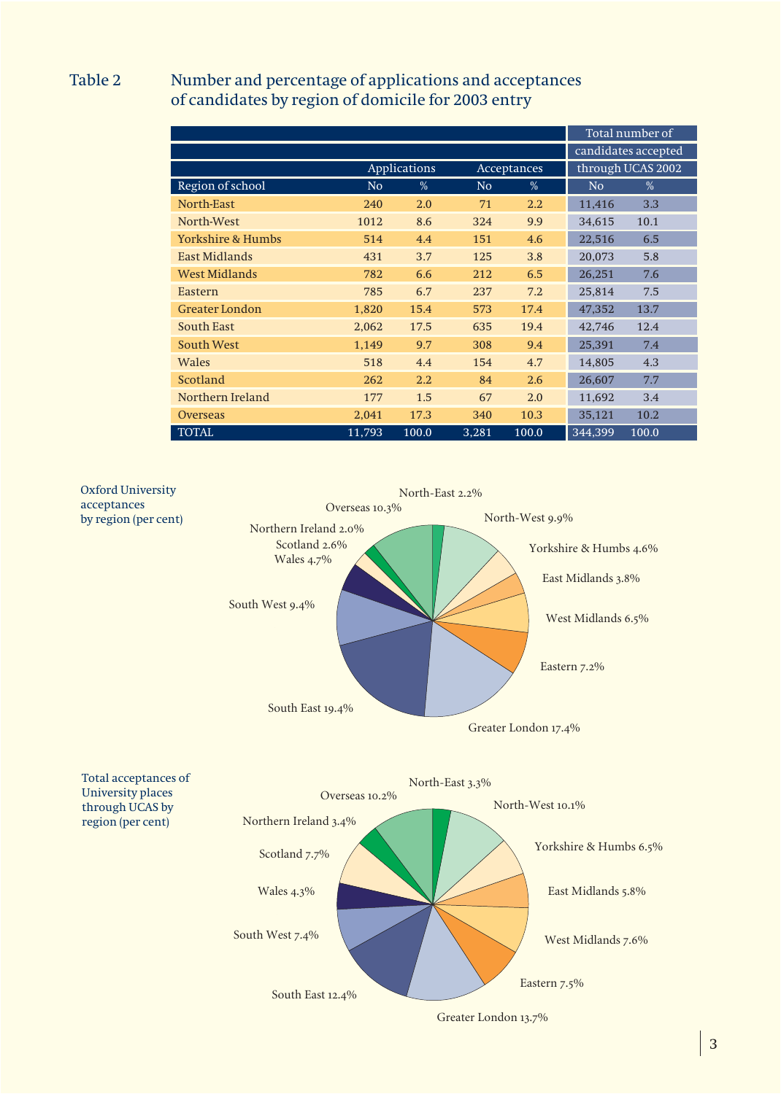### Table 2 Number and percentage of applications and acceptances of candidates by region of domicile for 2003 entry

|                              |                |              |                |                  |                | Total number of     |
|------------------------------|----------------|--------------|----------------|------------------|----------------|---------------------|
|                              |                |              |                |                  |                | candidates accepted |
|                              |                | Applications |                | Acceptances      |                | through UCAS 2002   |
| Region of school             | N <sub>o</sub> | $\%$         | N <sub>o</sub> | %                | N <sub>o</sub> | $\%$                |
| North-East                   | 240            | 2.0          | 71             | $2.2\phantom{0}$ | 11,416         | 3.3                 |
| North-West                   | 1012           | 8.6          | 324            | 9.9              | 34,615         | 10.1                |
| <b>Yorkshire &amp; Humbs</b> | 514            | 4.4          | 151            | 4.6              | 22,516         | 6.5                 |
| East Midlands                | 431            | 3.7          | 125            | 3.8              | 20,073         | 5.8                 |
| <b>West Midlands</b>         | 782            | 6.6          | 212            | 6.5              | 26,251         | 7.6                 |
| Eastern                      | 785            | 6.7          | 237            | 7.2              | 25,814         | 7.5                 |
| <b>Greater London</b>        | 1,820          | 15.4         | 573            | 17.4             | 47,352         | 13.7                |
| <b>South East</b>            | 2,062          | 17.5         | 635            | 19.4             | 42,746         | 12.4                |
| <b>South West</b>            | 1,149          | 9.7          | 308            | 9.4              | 25,391         | 7.4                 |
| <b>Wales</b>                 | 518            | 4.4          | 154            | 4.7              | 14,805         | 4.3                 |
| Scotland                     | 262            | 2.2          | 84             | 2.6              | 26,607         | 7.7                 |
| Northern Ireland             | 177            | 1.5          | 67             | 2.0              | 11,692         | 3.4                 |
| <b>Overseas</b>              | 2,041          | 17.3         | 340            | 10.3             | 35,121         | 10.2                |
| <b>TOTAL</b>                 | 11,793         | 100.0        | 3,281          | 100.0            | 344,399        | 100.0               |



3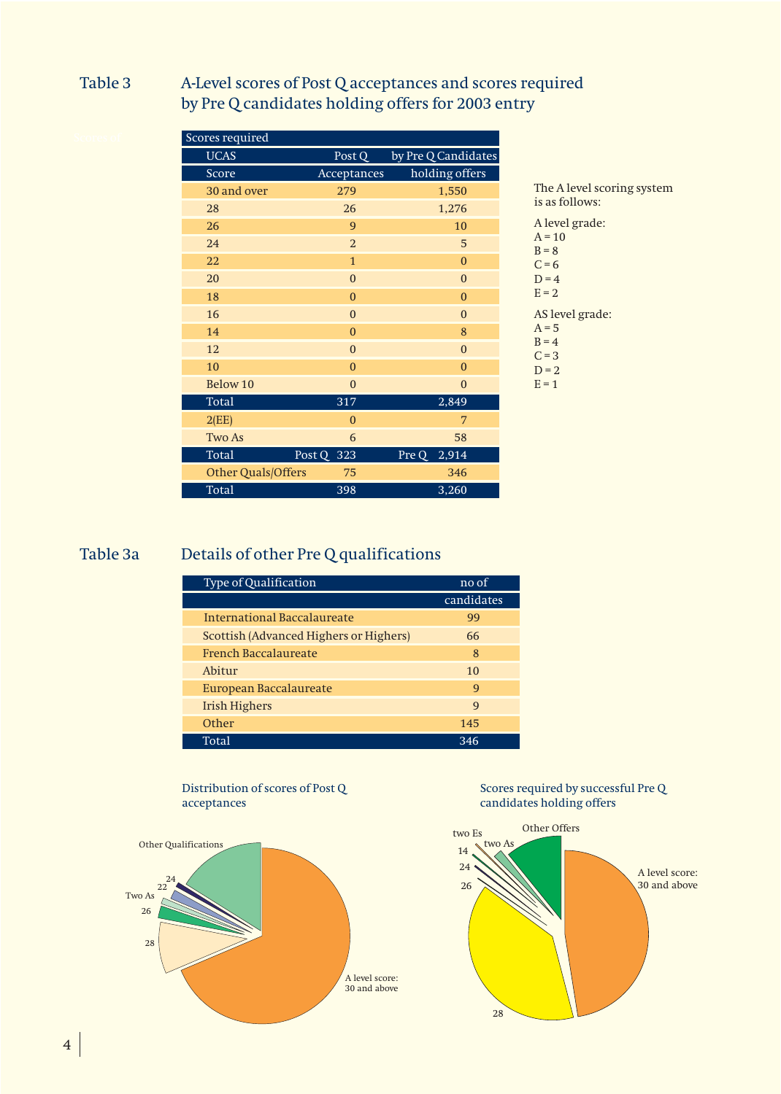### Table 3 A-Level scores of Post Q acceptances and scores required by Pre Q candidates holding offers for 2003 entry

| Scores required    |                  |                     |
|--------------------|------------------|---------------------|
| <b>UCAS</b>        | Post Q           | by Pre Q Candidates |
| Score              | Acceptances      | holding offers      |
| 30 and over        | 279              | 1,550               |
| 28                 | 26               | 1,276               |
| 26                 | 9                | 10                  |
| 24                 | $\sqrt{2}$       | 5                   |
| 22                 | $\mathbf{1}$     | $\boldsymbol{0}$    |
| 20                 | $\boldsymbol{0}$ | $\boldsymbol{0}$    |
| 18                 | $\mathbf{0}$     | $\boldsymbol{0}$    |
| 16                 | $\mathbf{0}$     | $\mathbf{0}$        |
| 14                 | $\overline{0}$   | 8                   |
| 12                 | $\mathbf{0}$     | $\mathbf{0}$        |
| 10                 | $\overline{0}$   | $\overline{0}$      |
| Below 10           | $\mathbf{0}$     | $\boldsymbol{0}$    |
| <b>Total</b>       | 317              | 2,849               |
| 2(EE)              | $\mathbf{0}$     | 7                   |
| Two As             | 6                | 58                  |
| <b>Total</b>       | Post Q 323       | Pre Q<br>2,914      |
| Other Quals/Offers | 75               | 346                 |
| <b>Total</b>       | 398              | 3,260               |

The A level scoring system is as follows: A level grade:  $A = 10$  $B = 8$  $C = 6$  $D = 4$  $E = 2$ AS level grade:  $A = 5$  $B = 4$  $C = 3$  $D = 2$ 

 $E = 1$ 

## Table 3a Details of other Pre Q qualifications

| Type of Qualification                  | no of        |
|----------------------------------------|--------------|
|                                        | candidates   |
| International Baccalaureate            | 99           |
| Scottish (Advanced Highers or Highers) | 66           |
| <b>French Baccalaureate</b>            | 8            |
| Abitur                                 | 10           |
| European Baccalaureate                 | 9            |
| <b>Irish Highers</b>                   | $\mathbf{q}$ |
| Other                                  | 145          |
| Total                                  | 346          |

### Distribution of scores of Post Q acceptances



### Scores required by successful Pre Q candidates holding offers

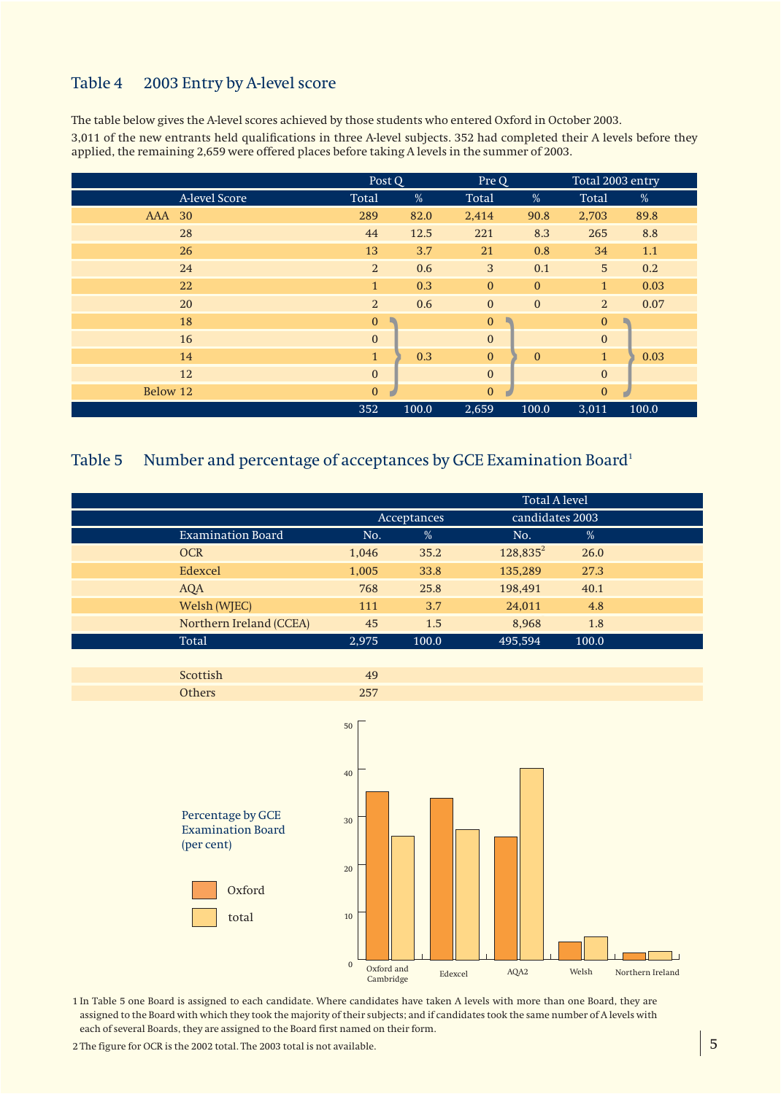### Table 4 2003 Entry by A-level score

The table below gives the A-level scores achieved by those students who entered Oxford in October 2003.

3,011 of the new entrants held qualifications in three A-level subjects. 352 had completed their A levels before they applied, the remaining 2,659 were offered places before taking A levels in the summer of 2003.

|                  |               | Post Q         |       | Pre Q        |              | Total 2003 entry |       |
|------------------|---------------|----------------|-------|--------------|--------------|------------------|-------|
|                  | A-level Score | Total          | %     | Total        | %            | Total            | %     |
| <b>AAA</b><br>30 |               | 289            | 82.0  | 2,414        | 90.8         | 2,703            | 89.8  |
| 28               |               | 44             | 12.5  | 221          | 8.3          | 265              | 8.8   |
| 26               |               | 13             | 3.7   | 21           | 0.8          | 34               | 1.1   |
| 24               |               | $\overline{2}$ | 0.6   | $\mathbf{3}$ | 0.1          | 5                | 0.2   |
| 22               |               | $\mathbf{1}$   | 0.3   | $\mathbf{0}$ | $\mathbf{0}$ | $\mathbf{1}$     | 0.03  |
| 20               |               | $\overline{2}$ | 0.6   | $\mathbf{0}$ | $\mathbf{0}$ | $\overline{2}$   | 0.07  |
| 18               |               | $\mathbf{0}$   |       | $\mathbf{0}$ |              | $\mathbf{0}$     |       |
| 16               |               | $\mathbf{0}$   |       | $\mathbf{0}$ |              | $\boldsymbol{0}$ |       |
| 14               |               | $\mathbf{1}$   | 0.3   | $\mathbf{0}$ | $\mathbf{0}$ | $\mathbf{1}$     | 0.03  |
| 12               |               | $\bf{0}$       |       | $\mathbf{0}$ |              | $\mathbf{0}$     |       |
| Below 12         |               | $\mathbf{0}$   |       | $\mathbf{0}$ |              | $\mathbf{0}$     |       |
|                  |               | 352            | 100.0 | 2,659        | 100.0        | 3,011            | 100.0 |

### Table 5 Number and percentage of acceptances by GCE Examination Board<sup>1</sup>

|                          | <b>Total A level</b> |             |                 |       |  |  |
|--------------------------|----------------------|-------------|-----------------|-------|--|--|
|                          |                      | Acceptances | candidates 2003 |       |  |  |
| <b>Examination Board</b> | No.                  | %           | No.             | %     |  |  |
| <b>OCR</b>               | 1,046                | 35.2        | $128,835^2$     | 26.0  |  |  |
| Edexcel                  | 1,005                | 33.8        | 135,289         | 27.3  |  |  |
| AQA                      | 768                  | 25.8        | 198,491         | 40.1  |  |  |
| Welsh (WJEC)             | 111                  | 3.7         | 24,011          | 4.8   |  |  |
| Northern Ireland (CCEA)  | 45                   | 1.5         | 8,968           | 1.8   |  |  |
| Total                    | 2.975                | 100.0       | 495.594         | 100.0 |  |  |





1 In Table 5 one Board is assigned to each candidate. Where candidates have taken A levels with more than one Board, they are assigned to the Board with which they took the majority of their subjects; and if candidates took the same number of A levels with each of several Boards, they are assigned to the Board first named on their form.

2 The figure for OCR is the 2002 total. The 2003 total is not available.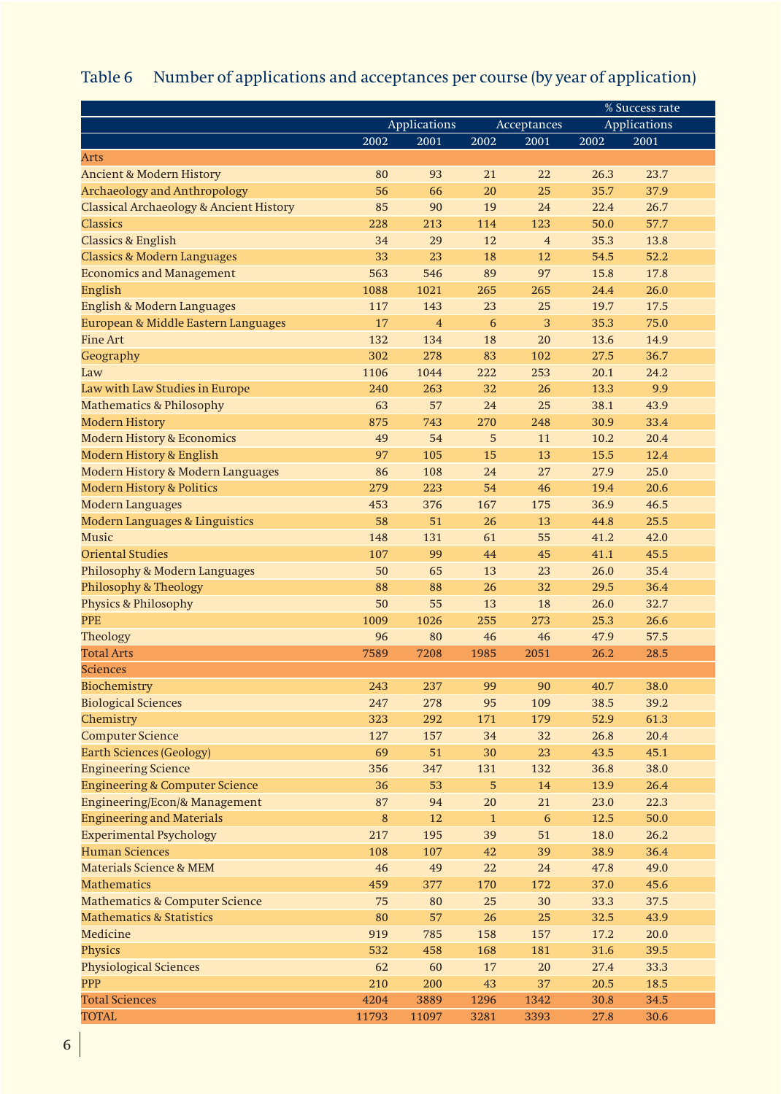## Table 6 Number of applications and acceptances per course (by year of application)

|                                                    |         |                |              |                | % Success rate |                     |  |
|----------------------------------------------------|---------|----------------|--------------|----------------|----------------|---------------------|--|
|                                                    |         | Applications   |              | Acceptances    |                | <b>Applications</b> |  |
|                                                    | 2002    | 2001           | 2002         | 2001           | 2002           | 2001                |  |
| Arts                                               |         |                |              |                |                |                     |  |
| <b>Ancient &amp; Modern History</b>                | 80      | 93             | 21           | 22             | 26.3           | 23.7                |  |
| <b>Archaeology and Anthropology</b>                | 56      | 66             | 20           | 25             | 35.7           | 37.9                |  |
| <b>Classical Archaeology &amp; Ancient History</b> | 85      | 90             | 19           | 24             | 22.4           | 26.7                |  |
| <b>Classics</b>                                    | 228     | 213            | 114          | 123            | 50.0           | 57.7                |  |
| <b>Classics &amp; English</b>                      | 34      | 29             | 12           | $\overline{4}$ | 35.3           | 13.8                |  |
| <b>Classics &amp; Modern Languages</b>             | 33      | 23             | 18           | 12             | 54.5           | 52.2                |  |
| <b>Economics and Management</b>                    | 563     | 546            | 89           | 97             | 15.8           | 17.8                |  |
| English                                            | 1088    | 1021           | 265          | 265            | 24.4           | 26.0                |  |
| English & Modern Languages                         | 117     | 143            | 23           | 25             | 19.7           | 17.5                |  |
| European & Middle Eastern Languages                | 17      | $\overline{4}$ | 6            | 3              | 35.3           | 75.0                |  |
| <b>Fine Art</b>                                    | 132     | 134            | 18           | 20             | 13.6           | 14.9                |  |
| Geography                                          | 302     | 278            | 83           | 102            | 27.5           | 36.7                |  |
| Law                                                | 1106    | 1044           | 222          | 253            | 20.1           | 24.2                |  |
| Law with Law Studies in Europe                     | 240     | 263            | 32           | 26             | 13.3           | 9.9                 |  |
| <b>Mathematics &amp; Philosophy</b>                | 63      | 57             | 24           | 25             | 38.1           | 43.9                |  |
| <b>Modern History</b>                              | 875     | 743            | 270          | 248            | 30.9           | 33.4                |  |
| <b>Modern History &amp; Economics</b>              | 49      | 54             | 5            | 11             | 10.2           | 20.4                |  |
| <b>Modern History &amp; English</b>                | 97      | 105            | 15           | 13             | 15.5           | 12.4                |  |
| Modern History & Modern Languages                  | 86      | 108            | 24           | 27             | 27.9           | 25.0                |  |
| <b>Modern History &amp; Politics</b>               | 279     | 223            | 54           | 46             | 19.4           | 20.6                |  |
| <b>Modern Languages</b>                            | 453     | 376            | 167          | 175            | 36.9           | 46.5                |  |
| <b>Modern Languages &amp; Linguistics</b>          | 58      | 51             | 26           | 13             | 44.8           | 25.5                |  |
| <b>Music</b>                                       | 148     | 131            | 61           | 55             | 41.2           | 42.0                |  |
| <b>Oriental Studies</b>                            | 107     | 99             | 44           | 45             | 41.1           | 45.5                |  |
| Philosophy & Modern Languages                      | 50      | 65             | 13           | 23             | 26.0           | 35.4                |  |
| Philosophy & Theology                              | 88      | 88             | 26           | 32             | 29.5           | 36.4                |  |
| <b>Physics &amp; Philosophy</b>                    | 50      | 55             | 13           | 18             | 26.0           | 32.7                |  |
| <b>PPE</b>                                         | 1009    | 1026           | 255          | 273            | 25.3           | 26.6                |  |
| Theology                                           | 96      | 80             | 46           | 46             | 47.9           | 57.5                |  |
| <b>Total Arts</b>                                  | 7589    | 7208           | 1985         | 2051           | 26.2           | 28.5                |  |
| <b>Sciences</b>                                    |         |                |              |                |                |                     |  |
| Biochemistry                                       | 243     | 237            | 99           | 90             | 40.7           | 38.0                |  |
| <b>Biological Sciences</b>                         | 247     | 278            | 95           | 109            | 38.5           | 39.2                |  |
|                                                    |         |                |              |                |                |                     |  |
| Chemistry                                          | 323     | 292            | 171          | 179            | 52.9           | 61.3                |  |
| <b>Computer Science</b>                            | 127     | 157            | 34           | 32             | 26.8           | 20.4                |  |
| <b>Earth Sciences (Geology)</b>                    | 69      | 51             | 30           | 23             | 43.5           | 45.1                |  |
| <b>Engineering Science</b>                         | 356     | 347            | 131          | 132            | 36.8           | 38.0                |  |
| <b>Engineering &amp; Computer Science</b>          | 36      | 53             | 5            | 14             | 13.9           | 26.4                |  |
| Engineering/Econ/& Management                      | 87      | 94             | 20           | 21             | 23.0           | 22.3                |  |
| <b>Engineering and Materials</b>                   | $\bf 8$ | 12             | $\mathbf{1}$ | $\sqrt{6}$     | 12.5           | 50.0                |  |
| <b>Experimental Psychology</b>                     | 217     | 195            | 39           | 51             | 18.0           | 26.2                |  |
| <b>Human Sciences</b>                              | 108     | 107            | 42           | 39             | 38.9           | 36.4                |  |
| Materials Science & MEM                            | 46      | 49             | 22           | 24             | 47.8           | 49.0                |  |
| <b>Mathematics</b>                                 | 459     | 377            | 170          | 172            | 37.0           | 45.6                |  |
| <b>Mathematics &amp; Computer Science</b>          | 75      | 80             | 25           | 30             | 33.3           | 37.5                |  |
| <b>Mathematics &amp; Statistics</b>                | 80      | 57             | 26           | $25\,$         | 32.5           | 43.9                |  |
| Medicine                                           | 919     | 785            | 158          | 157            | 17.2           | 20.0                |  |
| Physics                                            | 532     | 458            | 168          | 181            | 31.6           | 39.5                |  |
| <b>Physiological Sciences</b>                      | 62      | 60             | 17           | $20\,$         | 27.4           | 33.3                |  |
| <b>PPP</b>                                         | 210     | 200            | 43           | 37             | 20.5           | 18.5                |  |
| <b>Total Sciences</b>                              | 4204    | 3889           | 1296         | 1342           | 30.8           | 34.5                |  |
| <b>TOTAL</b>                                       | 11793   | 11097          | 3281         | 3393           | 27.8           | 30.6                |  |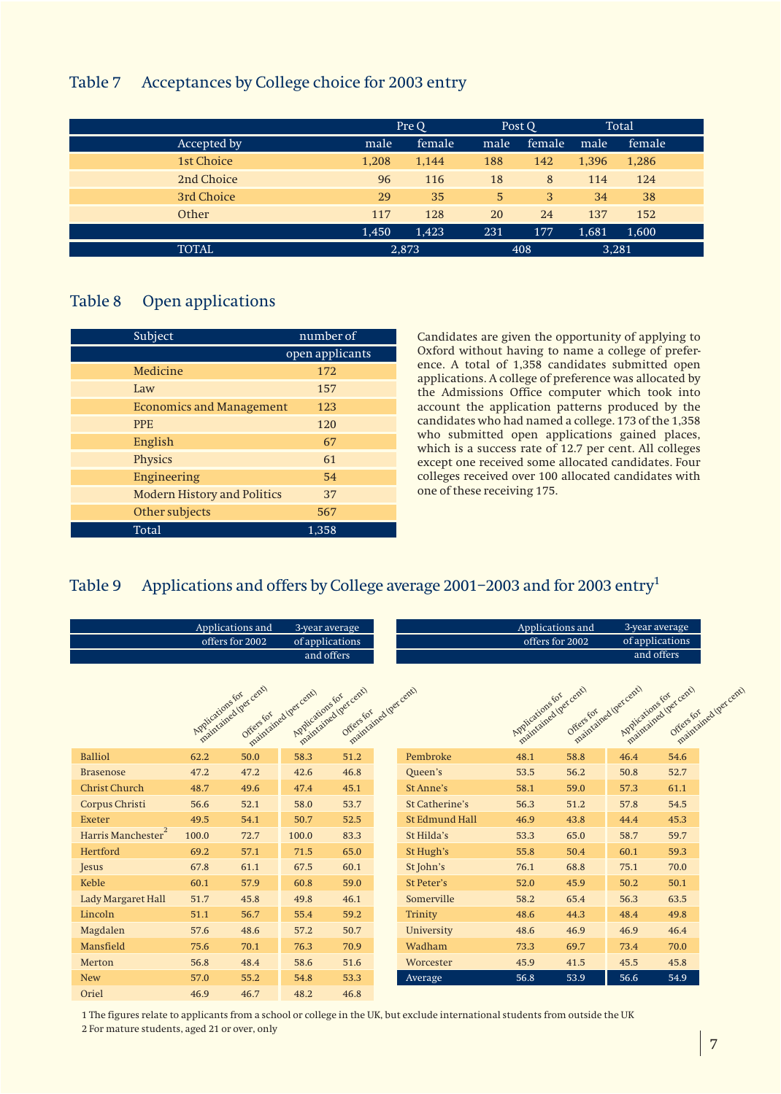### Table 7 Acceptances by College choice for 2003 entry

|              |       | Pre Q  | Post Q    |        |       | Total   |
|--------------|-------|--------|-----------|--------|-------|---------|
| Accepted by  | male  | female | male      | female | male  | female. |
| 1st Choice   | 1,208 | 1,144  | 188       | 142    | 1,396 | 1,286   |
| 2nd Choice   | 96    | 116    | 18        | 8      | 114   | 124     |
| 3rd Choice   | 29    | 35     | 5         | 3      | 34    | 38      |
| Other        | 117   | 128    | <b>20</b> | 24     | 137   | 152     |
|              | 1,450 | 1,423  | 231       | 177    | 1,681 | 1,600   |
| <b>TOTAL</b> |       | 2,873  |           | 408    | 3,281 |         |

### Table 8 Open applications

| Subject                            | number of       |
|------------------------------------|-----------------|
|                                    | open applicants |
| Medicine                           | 172             |
| Law                                | 157             |
| <b>Economics and Management</b>    | 123             |
| <b>PPE</b>                         | 120             |
| English                            | 67              |
| Physics                            | 61              |
| Engineering                        | 54              |
| <b>Modern History and Politics</b> | 37              |
| Other subjects                     | 567             |
| Total                              | 1,358           |

Candidates are given the opportunity of applying to Oxford without having to name a college of preference. A total of 1,358 candidates submitted open applications. A college of preference was allocated by the Admissions Office computer which took into account the application patterns produced by the candidates who had named a college. 173 of the 1,358 who submitted open applications gained places, which is a success rate of 12.7 per cent. All colleges except one received some allocated candidates. Four colleges received over 100 allocated candidates with one of these receiving 175.

### Table 9 Applications and offers by College average 2001–2003 and for 2003 entry<sup>1</sup>

|                        | Applications and<br>offers for 2002 |                                    | 3-year average<br>of applications<br>and offers |                                                          |                       | Applications and<br>offers for 2002       |           | 3-year average<br>of applications<br>and offers |                                                            |  |
|------------------------|-------------------------------------|------------------------------------|-------------------------------------------------|----------------------------------------------------------|-----------------------|-------------------------------------------|-----------|-------------------------------------------------|------------------------------------------------------------|--|
|                        | Applications for                    | maintained (per cent)<br>Offersfor | maintained (per cent)<br>Applications for       | maintained (percent)<br>maintained bet cent<br>Offersfor |                       | maintained (per cent)<br>Applications for | Offersfor | maintained (per cent)<br>Applications for       | maintained (per cent)<br>maintained (percent)<br>Offersfor |  |
| <b>Balliol</b>         | 62.2                                | 50.0                               | 58.3                                            | 51.2                                                     | Pembroke              | 48.1                                      | 58.8      | 46.4                                            | 54.6                                                       |  |
| <b>Brasenose</b>       | 47.2                                | 47.2                               | 42.6                                            | 46.8                                                     | Queen's               | 53.5                                      | 56.2      | 50.8                                            | 52.7                                                       |  |
| <b>Christ Church</b>   | 48.7                                | 49.6                               | 47.4                                            | 45.1                                                     | St Anne's             | 58.1                                      | 59.0      | 57.3                                            | 61.1                                                       |  |
| Corpus Christi         | 56.6                                | 52.1                               | 58.0                                            | 53.7                                                     | <b>St Catherine's</b> | 56.3                                      | 51.2      | 57.8                                            | 54.5                                                       |  |
| <b>Exeter</b>          | 49.5                                | 54.1                               | 50.7                                            | 52.5                                                     | <b>St Edmund Hall</b> | 46.9                                      | 43.8      | 44.4                                            | 45.3                                                       |  |
| 2<br>Harris Manchester | 100.0                               | 72.7                               | 100.0                                           | 83.3                                                     | St Hilda's            | 53.3                                      | 65.0      | 58.7                                            | 59.7                                                       |  |
| Hertford               | 69.2                                | 57.1                               | 71.5                                            | 65.0                                                     | St Hugh's             | 55.8                                      | 50.4      | 60.1                                            | 59.3                                                       |  |
| <b>Jesus</b>           | 67.8                                | 61.1                               | 67.5                                            | 60.1                                                     | St John's             | 76.1                                      | 68.8      | 75.1                                            | 70.0                                                       |  |
| Keble                  | 60.1                                | 57.9                               | 60.8                                            | 59.0                                                     | <b>St Peter's</b>     | 52.0                                      | 45.9      | 50.2                                            | 50.1                                                       |  |
| Lady Margaret Hall     | 51.7                                | 45.8                               | 49.8                                            | 46.1                                                     | Somerville            | 58.2                                      | 65.4      | 56.3                                            | 63.5                                                       |  |
| Lincoln                | 51.1                                | 56.7                               | 55.4                                            | 59.2                                                     | Trinity               | 48.6                                      | 44.3      | 48.4                                            | 49.8                                                       |  |
| Magdalen               | 57.6                                | 48.6                               | 57.2                                            | 50.7                                                     | University            | 48.6                                      | 46.9      | 46.9                                            | 46.4                                                       |  |
| Mansfield              | 75.6                                | 70.1                               | 76.3                                            | 70.9                                                     | Wadham                | 73.3                                      | 69.7      | 73.4                                            | 70.0                                                       |  |
| Merton                 | 56.8                                | 48.4                               | 58.6                                            | 51.6                                                     | Worcester             | 45.9                                      | 41.5      | 45.5                                            | 45.8                                                       |  |
| <b>New</b>             | 57.0                                | 55.2                               | 54.8                                            | 53.3                                                     | Average               | 56.8                                      | 53.9      | 56.6                                            | 54.9                                                       |  |
| Oriel                  | 46.9                                | 46.7                               | 48.2                                            | 46.8                                                     |                       |                                           |           |                                                 |                                                            |  |

1 The figures relate to applicants from a school or college in the UK, but exclude international students from outside the UK

2 For mature students, aged 21 or over, only